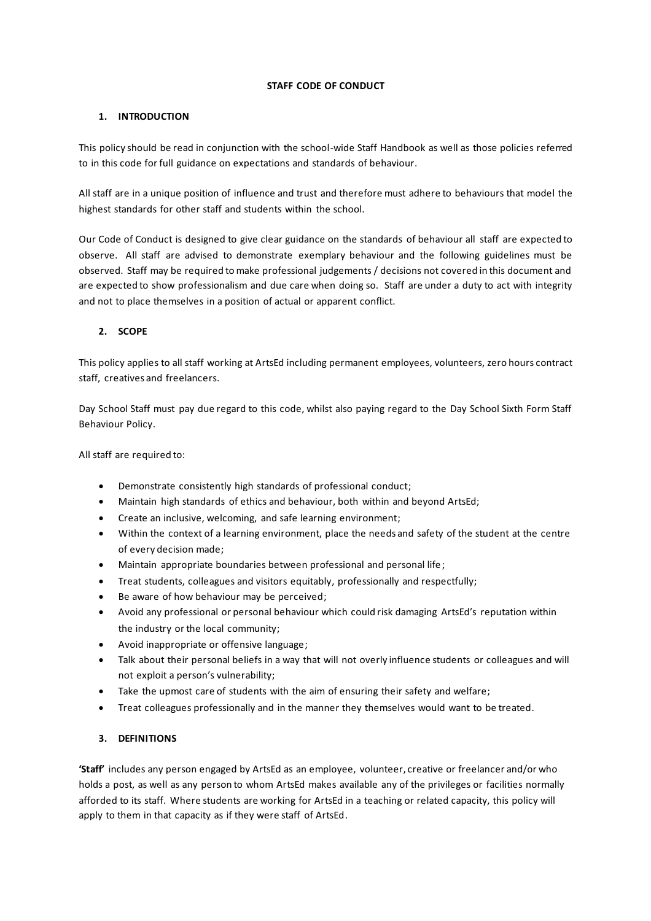## **STAFF CODE OF CONDUCT**

# **1. INTRODUCTION**

This policy should be read in conjunction with the school-wide Staff Handbook as well as those policies referred to in this code for full guidance on expectations and standards of behaviour.

All staff are in a unique position of influence and trust and therefore must adhere to behaviours that model the highest standards for other staff and students within the school.

Our Code of Conduct is designed to give clear guidance on the standards of behaviour all staff are expected to observe. All staff are advised to demonstrate exemplary behaviour and the following guidelines must be observed. Staff may be required to make professional judgements / decisions not covered in this document and are expected to show professionalism and due care when doing so. Staff are under a duty to act with integrity and not to place themselves in a position of actual or apparent conflict.

# **2. SCOPE**

This policy applies to all staff working at ArtsEd including permanent employees, volunteers, zero hours contract staff, creatives and freelancers.

Day School Staff must pay due regard to this code, whilst also paying regard to the Day School Sixth Form Staff Behaviour Policy.

All staff are required to:

- Demonstrate consistently high standards of professional conduct;
- Maintain high standards of ethics and behaviour, both within and beyond ArtsEd;
- Create an inclusive, welcoming, and safe learning environment;
- Within the context of a learning environment, place the needs and safety of the student at the centre of every decision made;
- Maintain appropriate boundaries between professional and personal life ;
- Treat students, colleagues and visitors equitably, professionally and respectfully;
- Be aware of how behaviour may be perceived;
- Avoid any professional or personal behaviour which could risk damaging ArtsEd's reputation within the industry or the local community;
- Avoid inappropriate or offensive language;
- Talk about their personal beliefs in a way that will not overly influence students or colleagues and will not exploit a person's vulnerability;
- Take the upmost care of students with the aim of ensuring their safety and welfare;
- Treat colleagues professionally and in the manner they themselves would want to be treated.

### **3. DEFINITIONS**

**'Staff'** includes any person engaged by ArtsEd as an employee, volunteer, creative or freelancer and/or who holds a post, as well as any person to whom ArtsEd makes available any of the privileges or facilities normally afforded to its staff. Where students are working for ArtsEd in a teaching or related capacity, this policy will apply to them in that capacity as if they were staff of ArtsEd.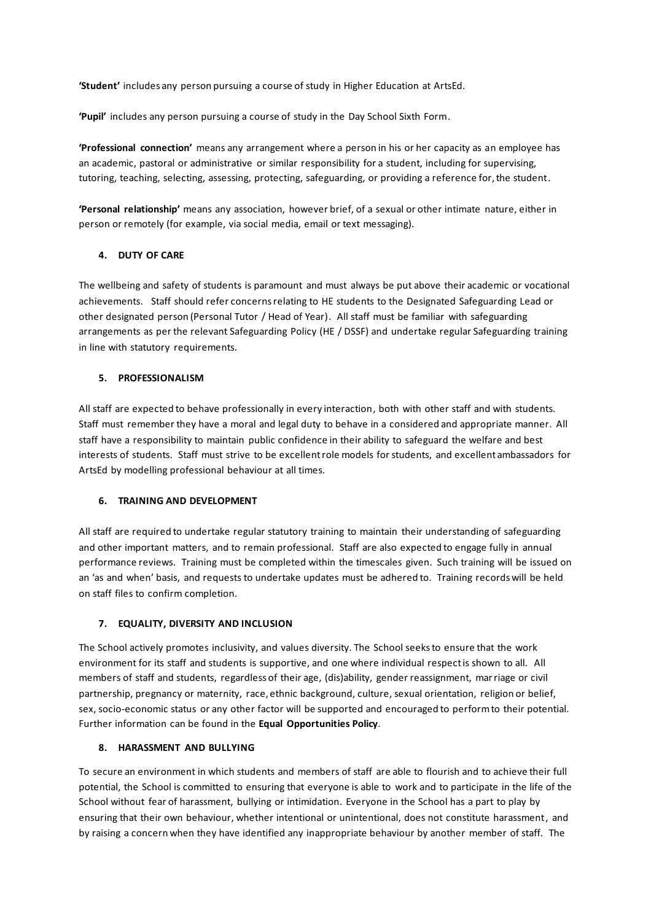**'Student'** includes any person pursuing a course of study in Higher Education at ArtsEd.

**'Pupil'** includes any person pursuing a course of study in the Day School Sixth Form.

**'Professional connection'** means any arrangement where a person in his or her capacity as an employee has an academic, pastoral or administrative or similar responsibility for a student, including for supervising, tutoring, teaching, selecting, assessing, protecting, safeguarding, or providing a reference for, the student.

**'Personal relationship'** means any association, however brief, of a sexual or other intimate nature, either in person or remotely (for example, via social media, email or text messaging).

# **4. DUTY OF CARE**

The wellbeing and safety of students is paramount and must always be put above their academic or vocational achievements. Staff should refer concerns relating to HE students to the Designated Safeguarding Lead or other designated person (Personal Tutor / Head of Year). All staff must be familiar with safeguarding arrangements as per the relevant Safeguarding Policy (HE / DSSF) and undertake regular Safeguarding training in line with statutory requirements.

# **5. PROFESSIONALISM**

All staff are expected to behave professionally in every interaction, both with other staff and with students. Staff must remember they have a moral and legal duty to behave in a considered and appropriate manner. All staff have a responsibility to maintain public confidence in their ability to safeguard the welfare and best interests of students. Staff must strive to be excellent role models for students, and excellent ambassadors for ArtsEd by modelling professional behaviour at all times.

### **6. TRAINING AND DEVELOPMENT**

All staff are required to undertake regular statutory training to maintain their understanding of safeguarding and other important matters, and to remain professional. Staff are also expected to engage fully in annual performance reviews. Training must be completed within the timescales given. Such training will be issued on an 'as and when' basis, and requests to undertake updates must be adhered to. Training records will be held on staff files to confirm completion.

# **7. EQUALITY, DIVERSITY AND INCLUSION**

The School actively promotes inclusivity, and values diversity. The School seeks to ensure that the work environment for its staff and students is supportive, and one where individual respect is shown to all. All members of staff and students, regardless of their age, (dis)ability, gender reassignment, marriage or civil partnership, pregnancy or maternity, race, ethnic background, culture, sexual orientation, religion or belief, sex, socio-economic status or any other factor will be supported and encouraged to perform to their potential. Further information can be found in the **Equal Opportunities Policy**.

# **8. HARASSMENT AND BULLYING**

To secure an environment in which students and members of staff are able to flourish and to achieve their full potential, the School is committed to ensuring that everyone is able to work and to participate in the life of the School without fear of harassment, bullying or intimidation. Everyone in the School has a part to play by ensuring that their own behaviour, whether intentional or unintentional, does not constitute harassment, and by raising a concern when they have identified any inappropriate behaviour by another member of staff. The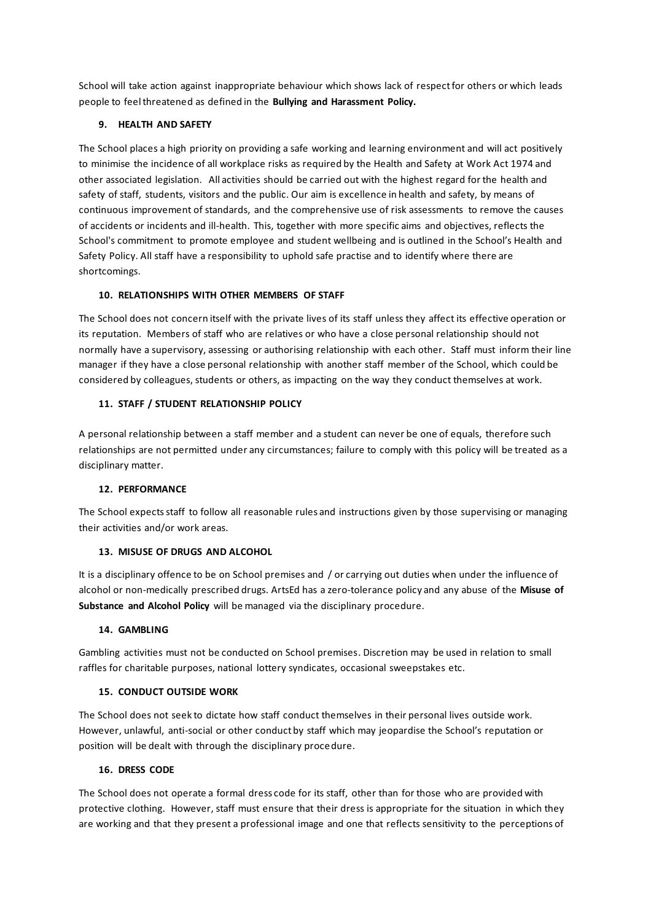School will take action against inappropriate behaviour which shows lack of respect for others or which leads people to feel threatened as defined in the **Bullying and Harassment Policy.**

## **9. HEALTH AND SAFETY**

The School places a high priority on providing a safe working and learning environment and will act positively to minimise the incidence of all workplace risks as required by the Health and Safety at Work Act 1974 and other associated legislation. All activities should be carried out with the highest regard for the health and safety of staff, students, visitors and the public. Our aim is excellence in health and safety, by means of continuous improvement of standards, and the comprehensive use of risk assessments to remove the causes of accidents or incidents and ill-health. This, together with more specific aims and objectives, reflects the School's commitment to promote employee and student wellbeing and is outlined in the School's Health and Safety Policy. All staff have a responsibility to uphold safe practise and to identify where there are shortcomings.

#### **10. RELATIONSHIPS WITH OTHER MEMBERS OF STAFF**

The School does not concern itself with the private lives of its staff unless they affect its effective operation or its reputation. Members of staff who are relatives or who have a close personal relationship should not normally have a supervisory, assessing or authorising relationship with each other. Staff must inform their line manager if they have a close personal relationship with another staff member of the School, which could be considered by colleagues, students or others, as impacting on the way they conduct themselves at work.

#### **11. STAFF / STUDENT RELATIONSHIP POLICY**

A personal relationship between a staff member and a student can never be one of equals, therefore such relationships are not permitted under any circumstances; failure to comply with this policy will be treated as a disciplinary matter.

#### **12. PERFORMANCE**

The School expects staff to follow all reasonable rules and instructions given by those supervising or managing their activities and/or work areas.

#### **13. MISUSE OF DRUGS AND ALCOHOL**

It is a disciplinary offence to be on School premises and / or carrying out duties when under the influence of alcohol or non-medically prescribed drugs. ArtsEd has a zero-tolerance policy and any abuse of the **Misuse of Substance and Alcohol Policy** will be managed via the disciplinary procedure.

#### **14. GAMBLING**

Gambling activities must not be conducted on School premises. Discretion may be used in relation to small raffles for charitable purposes, national lottery syndicates, occasional sweepstakes etc.

### **15. CONDUCT OUTSIDE WORK**

The School does not seek to dictate how staff conduct themselves in their personal lives outside work. However, unlawful, anti-social or other conduct by staff which may jeopardise the School's reputation or position will be dealt with through the disciplinary procedure.

#### **16. DRESS CODE**

The School does not operate a formal dress code for its staff, other than for those who are provided with protective clothing. However, staff must ensure that their dress is appropriate for the situation in which they are working and that they present a professional image and one that reflects sensitivity to the perceptions of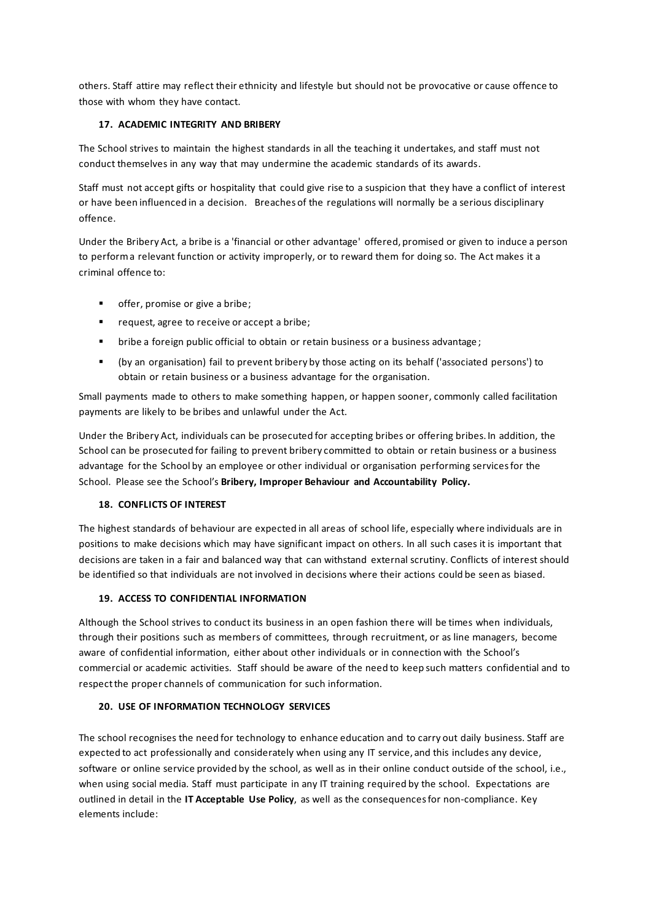others. Staff attire may reflect their ethnicity and lifestyle but should not be provocative or cause offence to those with whom they have contact.

# **17. ACADEMIC INTEGRITY AND BRIBERY**

The School strives to maintain the highest standards in all the teaching it undertakes, and staff must not conduct themselves in any way that may undermine the academic standards of its awards.

Staff must not accept gifts or hospitality that could give rise to a suspicion that they have a conflict of interest or have been influenced in a decision. Breaches of the regulations will normally be a serious disciplinary offence.

Under the Bribery Act, a bribe is a 'financial or other advantage' offered, promised or given to induce a person to perform a relevant function or activity improperly, or to reward them for doing so. The Act makes it a criminal offence to:

- offer, promise or give a bribe;
- request, agree to receive or accept a bribe;
- bribe a foreign public official to obtain or retain business or a business advantage;
- (by an organisation) fail to prevent bribery by those acting on its behalf ('associated persons') to obtain or retain business or a business advantage for the organisation.

Small payments made to others to make something happen, or happen sooner, commonly called facilitation payments are likely to be bribes and unlawful under the Act.

Under the Bribery Act, individuals can be prosecuted for accepting bribes or offering bribes. In addition, the School can be prosecuted for failing to prevent bribery committed to obtain or retain business or a business advantage for the School by an employee or other individual or organisation performing services for the School. Please see the School's **Bribery, Improper Behaviour and Accountability Policy.**

### **18. CONFLICTS OF INTEREST**

The highest standards of behaviour are expected in all areas of school life, especially where individuals are in positions to make decisions which may have significant impact on others. In all such cases it is important that decisions are taken in a fair and balanced way that can withstand external scrutiny. Conflicts of interest should be identified so that individuals are not involved in decisions where their actions could be seen as biased.

### **19. ACCESS TO CONFIDENTIAL INFORMATION**

Although the School strives to conduct its business in an open fashion there will be times when individuals, through their positions such as members of committees, through recruitment, or as line managers, become aware of confidential information, either about other individuals or in connection with the School's commercial or academic activities. Staff should be aware of the need to keep such matters confidential and to respect the proper channels of communication for such information.

### **20. USE OF INFORMATION TECHNOLOGY SERVICES**

The school recognises the need for technology to enhance education and to carry out daily business. Staff are expected to act professionally and considerately when using any IT service, and this includes any device, software or online service provided by the school, as well as in their online conduct outside of the school, i.e., when using social media. Staff must participate in any IT training required by the school. Expectations are outlined in detail in the **IT Acceptable Use Policy**, as well as the consequences for non-compliance. Key elements include: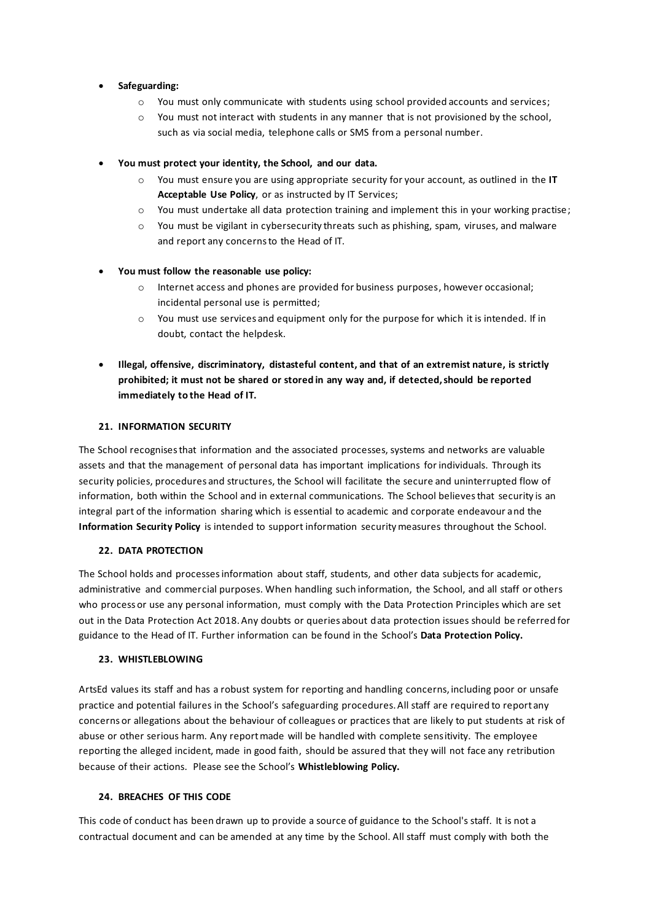## • **Safeguarding:**

- o You must only communicate with students using school provided accounts and services;
- $\circ$  You must not interact with students in any manner that is not provisioned by the school, such as via social media, telephone calls or SMS from a personal number.
- **You must protect your identity, the School, and our data.**
	- o You must ensure you are using appropriate security for your account, as outlined in the **IT Acceptable Use Policy**, or as instructed by IT Services;
	- o You must undertake all data protection training and implement this in your working practise;
	- $\circ$  You must be vigilant in cybersecurity threats such as phishing, spam, viruses, and malware and report any concerns to the Head of IT.

# • **You must follow the reasonable use policy:**

- o Internet access and phones are provided for business purposes, however occasional; incidental personal use is permitted;
- $\circ$  You must use services and equipment only for the purpose for which it is intended. If in doubt, contact the helpdesk.
- **Illegal, offensive, discriminatory, distasteful content, and that of an extremist nature, is strictly prohibited; it must not be shared or stored in any way and, if detected,should be reported immediately to the Head of IT.**

### **21. INFORMATION SECURITY**

The School recognises that information and the associated processes, systems and networks are valuable assets and that the management of personal data has important implications for individuals. Through its security policies, procedures and structures, the School will facilitate the secure and uninterrupted flow of information, both within the School and in external communications. The School believes that security is an integral part of the information sharing which is essential to academic and corporate endeavour and the **Information Security Policy** is intended to support information security measures throughout the School.

### **22. DATA PROTECTION**

The School holds and processes information about staff, students, and other data subjects for academic, administrative and commercial purposes. When handling such information, the School, and all staff or others who process or use any personal information, must comply with the Data Protection Principles which are set out in the Data Protection Act 2018. Any doubts or queries about data protection issues should be referred for guidance to the Head of IT. Further information can be found in the School's **Data Protection Policy.**

### 23. WHISTLEBLOWING

ArtsEd values its staff and has a robust system for reporting and handling concerns, including poor or unsafe practice and potential failures in the School's safeguarding procedures. All staff are required to report any concerns or allegations about the behaviour of colleagues or practices that are likely to put students at risk of abuse or other serious harm. Any report made will be handled with complete sensitivity. The employee reporting the alleged incident, made in good faith, should be assured that they will not face any retribution because of their actions. Please see the School's **Whistleblowing Policy.**

# **24. BREACHES OF THIS CODE**

This code of conduct has been drawn up to provide a source of guidance to the School's staff. It is not a contractual document and can be amended at any time by the School. All staff must comply with both the